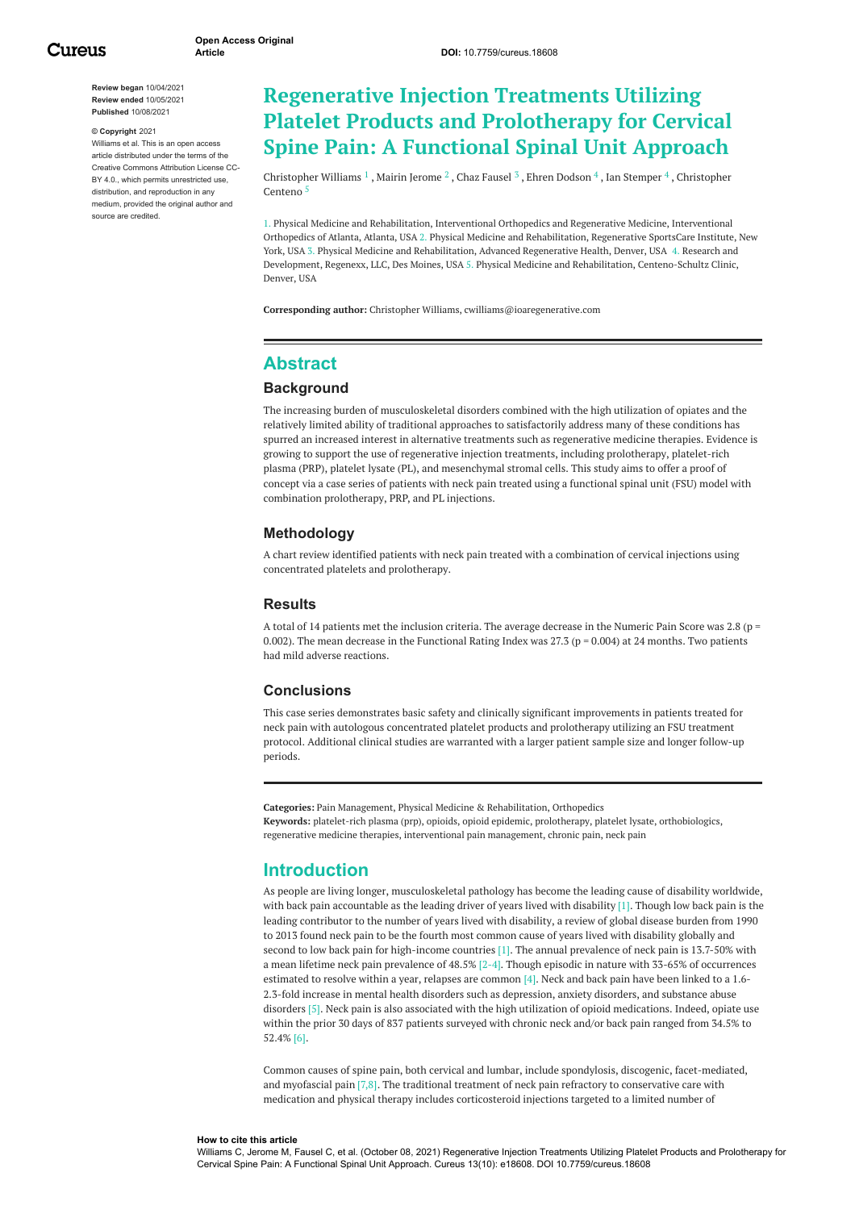**Review began** 10/04/2021 **Review ended** 10/05/2021 **Published** 10/08/2021

#### **© Copyright** 2021

Williams et al. This is an open access article distributed under the terms of the Creative Commons Attribution License CC-BY 4.0., which permits unrestricted use, distribution, and reproduction in any medium, provided the original author and source are credited.

# **Regenerative Injection Treatments Utilizing Platelet Products and Prolotherapy for Cervical Spine Pain: A Functional Spinal Unit Approach**

[Christopher](https://www.cureus.com/users/238498-christopher-williams) Williams  $^1$  , Mairin [Jerome](https://www.cureus.com/users/234075-mairin-jerome)  $^2$  , Chaz [Fausel](https://www.cureus.com/users/239999-chaz-fausel)  $^3$  , Ehren [Dodson](https://www.cureus.com/users/286867-ehren-dodson)  $^4$  , Ian [Stemper](https://www.cureus.com/users/286868-ian-stemper)  $^4$  , Christopher Centeno 5

1. Physical Medicine and Rehabilitation, Interventional Orthopedics and Regenerative Medicine, Interventional Orthopedics of Atlanta, Atlanta, USA 2. Physical Medicine and Rehabilitation, Regenerative SportsCare Institute, New York, USA 3. Physical Medicine and Rehabilitation, Advanced Regenerative Health, Denver, USA 4. Research and Development, Regenexx, LLC, Des Moines, USA 5. Physical Medicine and Rehabilitation, Centeno-Schultz Clinic, Denver, USA

**Corresponding author:** Christopher Williams, cwilliams@ioaregenerative.com

### **Abstract**

#### **Background**

The increasing burden of musculoskeletal disorders combined with the high utilization of opiates and the relatively limited ability of traditional approaches to satisfactorily address many of these conditions has spurred an increased interest in alternative treatments such as regenerative medicine therapies. Evidence is growing to support the use of regenerative injection treatments, including prolotherapy, platelet-rich plasma (PRP), platelet lysate (PL), and mesenchymal stromal cells. This study aims to offer a proof of concept via a case series of patients with neck pain treated using a functional spinal unit (FSU) model with combination prolotherapy, PRP, and PL injections.

#### **Methodology**

A chart review identified patients with neck pain treated with a combination of cervical injections using concentrated platelets and prolotherapy.

#### **Results**

A total of 14 patients met the inclusion criteria. The average decrease in the Numeric Pain Score was 2.8 ( $p =$ 0.002). The mean decrease in the Functional Rating Index was 27.3 ( $p = 0.004$ ) at 24 months. Two patients had mild adverse reactions.

#### **Conclusions**

This case series demonstrates basic safety and clinically significant improvements in patients treated for neck pain with autologous concentrated platelet products and prolotherapy utilizing an FSU treatment protocol. Additional clinical studies are warranted with a larger patient sample size and longer follow-up periods.

**Categories:** Pain Management, Physical Medicine & Rehabilitation, Orthopedics **Keywords:** platelet-rich plasma (prp), opioids, opioid epidemic, prolotherapy, platelet lysate, orthobiologics, regenerative medicine therapies, interventional pain management, chronic pain, neck pain

#### **Introduction**

As people are living longer, musculoskeletal pathology has become the leading cause of disability worldwide, with back pain accountable as the leading driver of years lived with disability  $[1]$ . Though low back pain is the leading contributor to the number of years lived with disability, a review of global disease burden from 1990 to 2013 found neck pain to be the fourth most common cause of years lived with disability globally and second to low back pain for high-income countries [1]. The annual prevalence of neck pain is 13.7-50% with a mean lifetime neck pain prevalence of 48.5% [2-4]. Though episodic in nature with 33-65% of occurrences estimated to resolve within a year, relapses are common [4]. Neck and back pain have been linked to a 1.6- 2.3-fold increase in mental health disorders such as depression, anxiety disorders, and substance abuse disorders [5]. Neck pain is also associated with the high utilization of opioid medications. Indeed, opiate use within the prior 30 days of 837 patients surveyed with chronic neck and/or back pain ranged from 34.5% to 52.4% [6].

Common causes of spine pain, both cervical and lumbar, include spondylosis, discogenic, facet-mediated, and myofascial pain [7,8]. The traditional treatment of neck pain refractory to conservative care with medication and physical therapy includes corticosteroid injections targeted to a limited number of

#### **How to cite this article**

Williams C, Jerome M, Fausel C, et al. (October 08, 2021) Regenerative Injection Treatments Utilizing Platelet Products and Prolotherapy for Cervical Spine Pain: A Functional Spinal Unit Approach. Cureus 13(10): e18608. DOI 10.7759/cureus.18608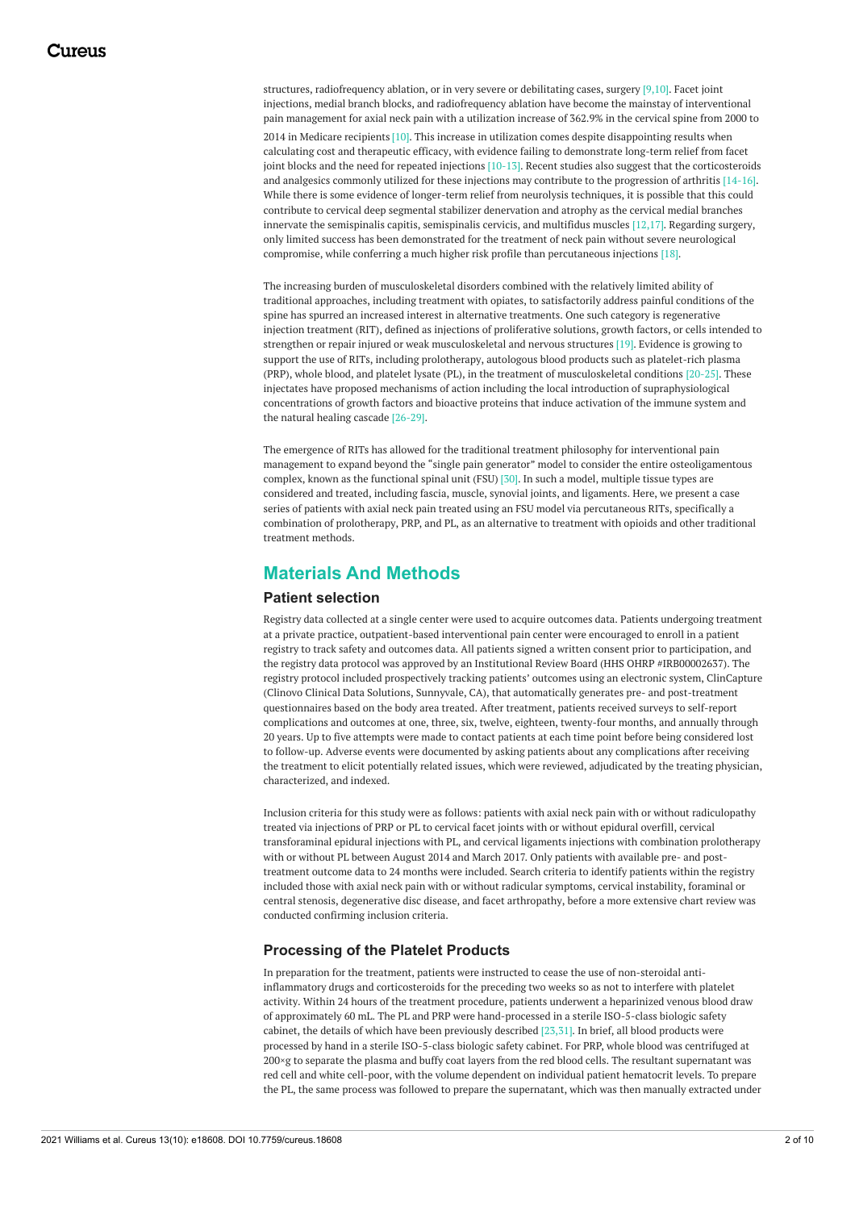structures, radiofrequency ablation, or in very severe or debilitating cases, surgery [9,10]. Facet joint injections, medial branch blocks, and radiofrequency ablation have become the mainstay of interventional pain management for axial neck pain with a utilization increase of 362.9% in the cervical spine from 2000 to 2014 in Medicare recipients [10]. This increase in utilization comes despite disappointing results when calculating cost and therapeutic efficacy, with evidence failing to demonstrate long-term relief from facet joint blocks and the need for repeated injections [10-13]. Recent studies also suggest that the corticosteroids and analgesics commonly utilized for these injections may contribute to the progression of arthritis [14-16]. While there is some evidence of longer-term relief from neurolysis techniques, it is possible that this could contribute to cervical deep segmental stabilizer denervation and atrophy as the cervical medial branches innervate the semispinalis capitis, semispinalis cervicis, and multifidus muscles [12,17]. Regarding surgery, only limited success has been demonstrated for the treatment of neck pain without severe neurological compromise, while conferring a much higher risk profile than percutaneous injections [18].

The increasing burden of musculoskeletal disorders combined with the relatively limited ability of traditional approaches, including treatment with opiates, to satisfactorily address painful conditions of the spine has spurred an increased interest in alternative treatments. One such category is regenerative injection treatment (RIT), defined as injections of proliferative solutions, growth factors, or cells intended to strengthen or repair injured or weak musculoskeletal and nervous structures [19]. Evidence is growing to support the use of RITs, including prolotherapy, autologous blood products such as platelet-rich plasma (PRP), whole blood, and platelet lysate (PL), in the treatment of musculoskeletal conditions [20-25]. These injectates have proposed mechanisms of action including the local introduction of supraphysiological concentrations of growth factors and bioactive proteins that induce activation of the immune system and the natural healing cascade [26-29].

The emergence of RITs has allowed for the traditional treatment philosophy for interventional pain management to expand beyond the "single pain generator" model to consider the entire osteoligamentous complex, known as the functional spinal unit (FSU) [30]. In such a model, multiple tissue types are considered and treated, including fascia, muscle, synovial joints, and ligaments. Here, we present a case series of patients with axial neck pain treated using an FSU model via percutaneous RITs, specifically a combination of prolotherapy, PRP, and PL, as an alternative to treatment with opioids and other traditional treatment methods.

### **Materials And Methods**

#### **Patient selection**

Registry data collected at a single center were used to acquire outcomes data. Patients undergoing treatment at a private practice, outpatient-based interventional pain center were encouraged to enroll in a patient registry to track safety and outcomes data. All patients signed a written consent prior to participation, and the registry data protocol was approved by an Institutional Review Board (HHS OHRP #IRB00002637). The registry protocol included prospectively tracking patients' outcomes using an electronic system, ClinCapture (Clinovo Clinical Data Solutions, Sunnyvale, CA), that automatically generates pre- and post-treatment questionnaires based on the body area treated. After treatment, patients received surveys to self-report complications and outcomes at one, three, six, twelve, eighteen, twenty-four months, and annually through 20 years. Up to five attempts were made to contact patients at each time point before being considered lost to follow-up. Adverse events were documented by asking patients about any complications after receiving the treatment to elicit potentially related issues, which were reviewed, adjudicated by the treating physician, characterized, and indexed.

Inclusion criteria for this study were as follows: patients with axial neck pain with or without radiculopathy treated via injections of PRP or PL to cervical facet joints with or without epidural overfill, cervical transforaminal epidural injections with PL, and cervical ligaments injections with combination prolotherapy with or without PL between August 2014 and March 2017. Only patients with available pre- and posttreatment outcome data to 24 months were included. Search criteria to identify patients within the registry included those with axial neck pain with or without radicular symptoms, cervical instability, foraminal or central stenosis, degenerative disc disease, and facet arthropathy, before a more extensive chart review was conducted confirming inclusion criteria.

#### **Processing of the Platelet Products**

In preparation for the treatment, patients were instructed to cease the use of non-steroidal antiinflammatory drugs and corticosteroids for the preceding two weeks so as not to interfere with platelet activity. Within 24 hours of the treatment procedure, patients underwent a heparinized venous blood draw of approximately 60 mL. The PL and PRP were hand-processed in a sterile ISO-5-class biologic safety cabinet, the details of which have been previously described [23,31]. In brief, all blood products were processed by hand in a sterile ISO-5-class biologic safety cabinet. For PRP, whole blood was centrifuged at 200×g to separate the plasma and buffy coat layers from the red blood cells. The resultant supernatant was red cell and white cell-poor, with the volume dependent on individual patient hematocrit levels. To prepare the PL, the same process was followed to prepare the supernatant, which was then manually extracted under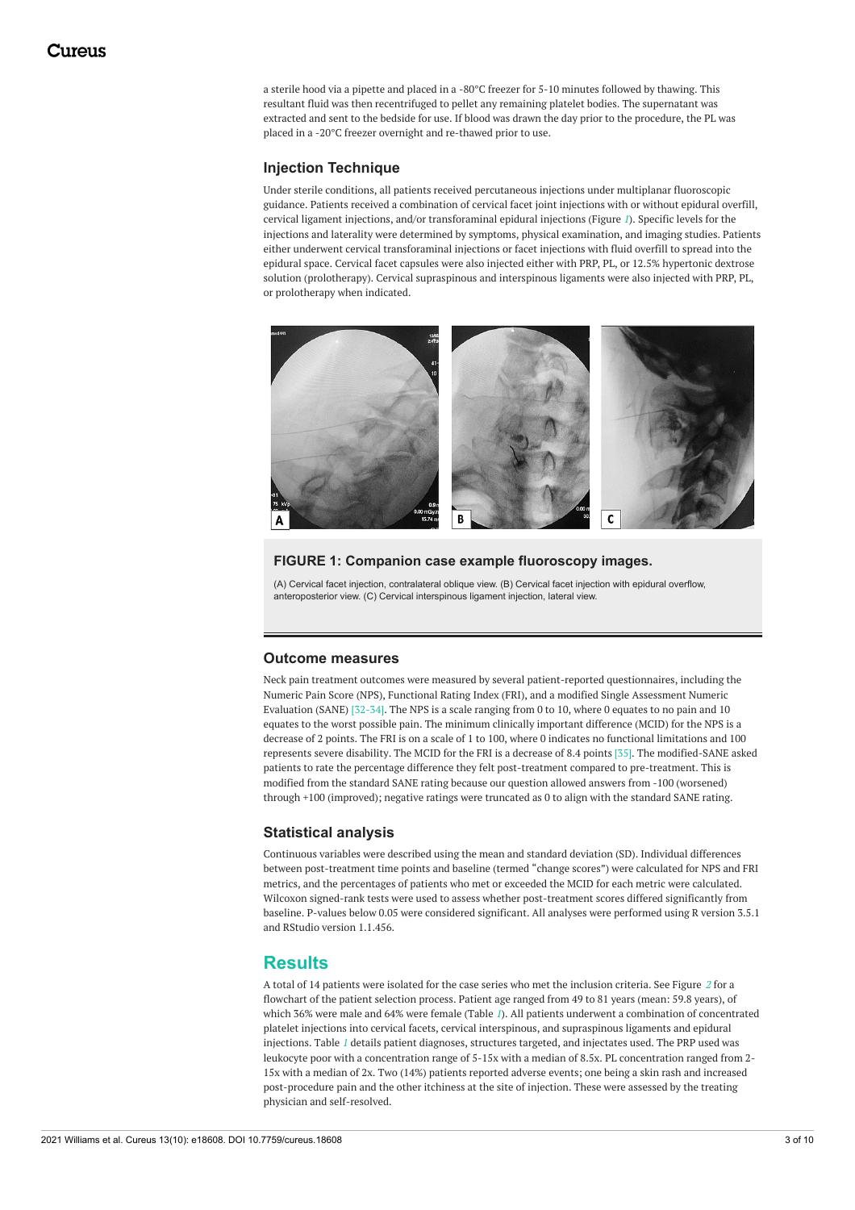a sterile hood via a pipette and placed in a -80°C freezer for 5-10 minutes followed by thawing. This resultant fluid was then recentrifuged to pellet any remaining platelet bodies. The supernatant was extracted and sent to the bedside for use. If blood was drawn the day prior to the procedure, the PL was placed in a -20°C freezer overnight and re-thawed prior to use.

#### **Injection Technique**

Under sterile conditions, all patients received percutaneous injections under multiplanar fluoroscopic guidance. Patients received a combination of cervical facet joint injections with or without epidural overfill, cervical ligament injections, and/or transforaminal epidural injections (Figure *[1](#page-2-0)*). Specific levels for the injections and laterality were determined by symptoms, physical examination, and imaging studies. Patients either underwent cervical transforaminal injections or facet injections with fluid overfill to spread into the epidural space. Cervical facet capsules were also injected either with PRP, PL, or 12.5% hypertonic dextrose solution (prolotherapy). Cervical supraspinous and interspinous ligaments were also injected with PRP, PL, or prolotherapy when indicated.

<span id="page-2-0"></span>

#### **FIGURE 1: Companion case example fluoroscopy images.**

(A) Cervical facet injection, contralateral oblique view. (B) Cervical facet injection with epidural overflow, anteroposterior view. (C) Cervical interspinous ligament injection, lateral view.

#### **Outcome measures**

Neck pain treatment outcomes were measured by several patient-reported questionnaires, including the Numeric Pain Score (NPS), Functional Rating Index (FRI), and a modified Single Assessment Numeric Evaluation (SANE) [32-34]. The NPS is a scale ranging from 0 to 10, where 0 equates to no pain and 10 equates to the worst possible pain. The minimum clinically important difference (MCID) for the NPS is a decrease of 2 points. The FRI is on a scale of 1 to 100, where 0 indicates no functional limitations and 100 represents severe disability. The MCID for the FRI is a decrease of 8.4 points [35]. The modified-SANE asked patients to rate the percentage difference they felt post-treatment compared to pre-treatment. This is modified from the standard SANE rating because our question allowed answers from -100 (worsened) through +100 (improved); negative ratings were truncated as 0 to align with the standard SANE rating.

#### **Statistical analysis**

Continuous variables were described using the mean and standard deviation (SD). Individual differences between post-treatment time points and baseline (termed "change scores") were calculated for NPS and FRI metrics, and the percentages of patients who met or exceeded the MCID for each metric were calculated. Wilcoxon signed-rank tests were used to assess whether post-treatment scores differed significantly from baseline. P-values below 0.05 were considered significant. All analyses were performed using R version 3.5.1 and RStudio version 1.1.456.

#### **Results**

A total of 14 patients were isolated for the case series who met the inclusion criteria. See Figure *[2](#page-3-0)* for a flowchart of the patient selection process. Patient age ranged from 49 to 81 years (mean: 59.8 years), of which 36% were male and 64% were female (Table *[1](#page-4-0)*). All patients underwent a combination of concentrated platelet injections into cervical facets, cervical interspinous, and supraspinous ligaments and epidural injections. Table *[1](#page-4-0)* details patient diagnoses, structures targeted, and injectates used. The PRP used was leukocyte poor with a concentration range of 5-15x with a median of 8.5x. PL concentration ranged from 2- 15x with a median of 2x. Two (14%) patients reported adverse events; one being a skin rash and increased post-procedure pain and the other itchiness at the site of injection. These were assessed by the treating physician and self-resolved.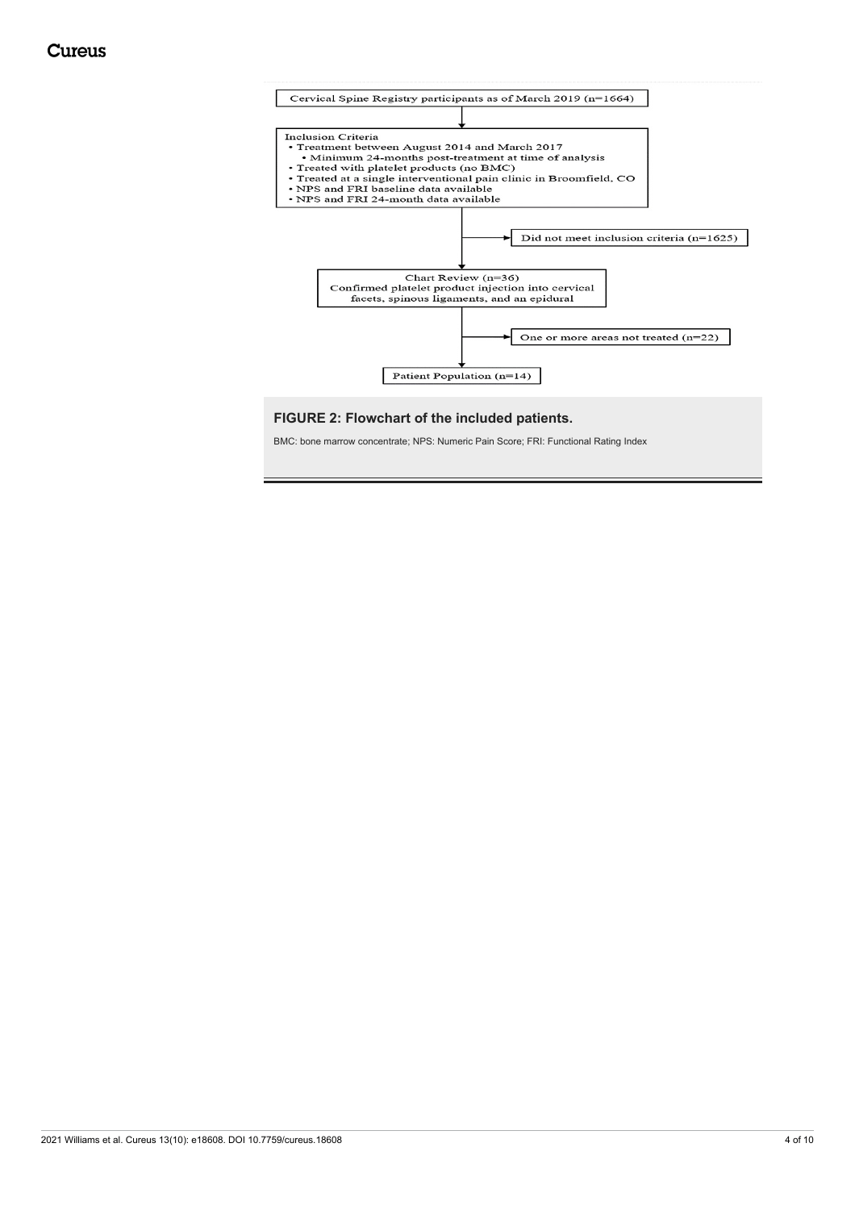<span id="page-3-0"></span>

#### **FIGURE 2: Flowchart of the included patients.**

BMC: bone marrow concentrate; NPS: Numeric Pain Score; FRI: Functional Rating Index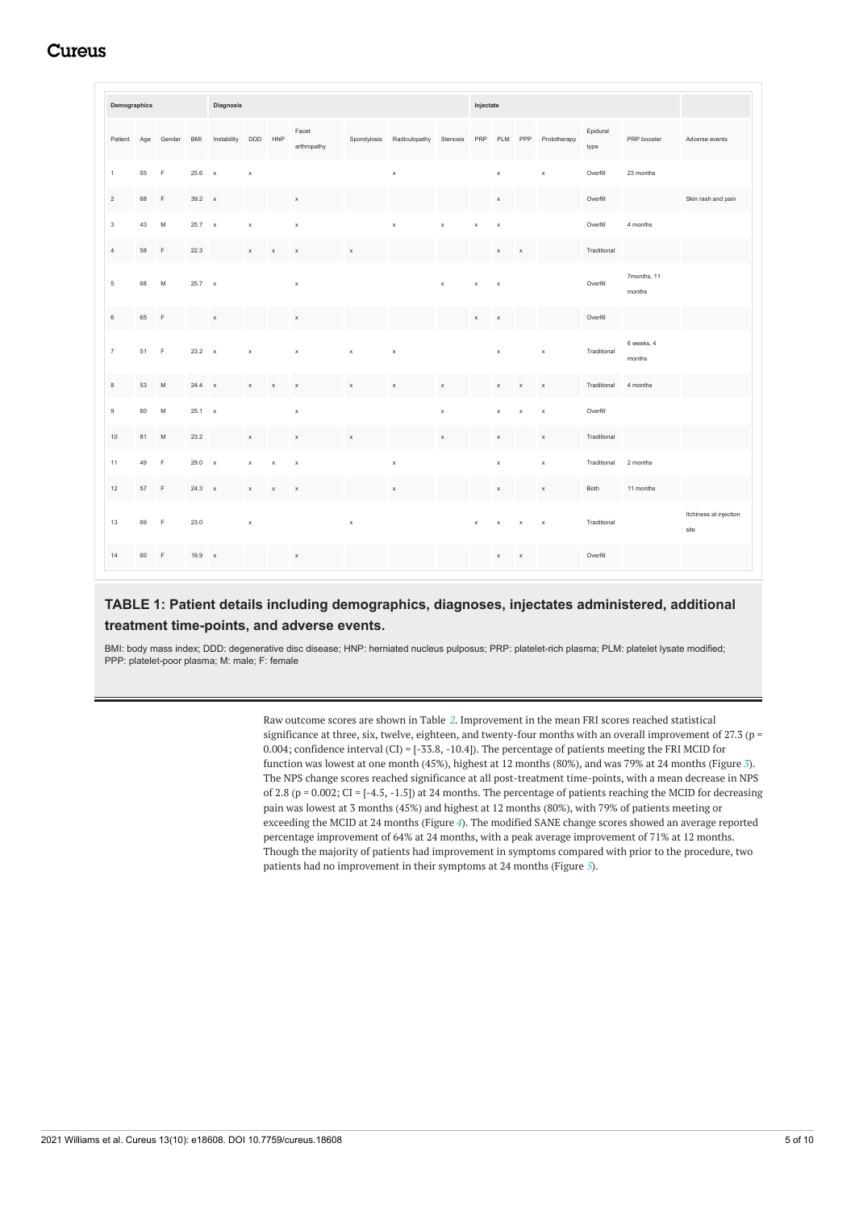## Cureus

<span id="page-4-0"></span>

| Demographics   |      |             |        | Diagnosis    |              |             |                      |             |               |             |             |                           | Injectate   |              |                  |                       |                                |  |  |  |
|----------------|------|-------------|--------|--------------|--------------|-------------|----------------------|-------------|---------------|-------------|-------------|---------------------------|-------------|--------------|------------------|-----------------------|--------------------------------|--|--|--|
| Patient        | Age  | Gender      | BMI    | Instability  | DDD          | HNP         | Facet<br>arthropathy | Spondylosis | Radiculopathy | Stenosis    | PRP         | PLM PPP                   |             | Prolotherapy | Epidural<br>type | PRP booster           | Adverse events                 |  |  |  |
| $\mathbf{1}$   | 55   | $\mathbb F$ | 25.6   | $\mathbf x$  | $\,$ X       |             |                      |             | $\mathsf X$   |             |             | $\mathsf x$               |             | $\mathsf x$  | Overfill         | 23 months             |                                |  |  |  |
| $\overline{c}$ | 68   | $\mathbb F$ | 39.2 x |              |              |             | $\mathsf X$          |             |               |             |             | $\mathsf X$               |             |              | Overfill         |                       | Skin rash and pain             |  |  |  |
| $\mathsf 3$    | 43   | ${\sf M}$   | 25.7 x |              | $\mathsf x$  |             | $\mathbf x$          |             | $\mathsf x$   | $\mathsf x$ | $\mathsf X$ | $\mathsf x$               |             |              | Overfill         | 4 months              |                                |  |  |  |
| $\sqrt{4}$     | 58   | $\mathbb F$ | 22.3   |              | $\mathsf{x}$ | $\mathsf X$ | $\mathbf x$          | $\mathsf x$ |               |             |             | $\boldsymbol{\mathsf{x}}$ | $\mathsf X$ |              | Traditional      |                       |                                |  |  |  |
| $\sqrt{5}$     | 68   | M           | 25.7 x |              |              |             | $\mathsf X$          |             |               | $\mathsf x$ | $\mathsf x$ | $\mathsf X$               |             |              | Overfill         | 7months, 11<br>months |                                |  |  |  |
| $\,6\,$        | 65   | $\mathbb F$ |        | $\mathsf x$  |              |             | $\mathsf X$          |             |               |             | $\mathsf X$ | $\mathsf X$               |             |              | Overfill         |                       |                                |  |  |  |
| $7\,$          | 51 F |             | 23.2 x |              | $\mathsf x$  |             | $\mathsf X$          | $\mathsf x$ | $\mathsf x$   |             |             | $\mathsf x$               |             | $\mathsf x$  | Traditional      | 6 weeks, 4<br>months  |                                |  |  |  |
| $\,$ 8         | 53   | M           | 24.4   | $\mathbf{x}$ | $\mathsf X$  | $\mathsf x$ | $\mathsf X$          | $\mathsf x$ | $\mathsf X$   | $\mathsf X$ |             | $\mathsf x$               | $\mathsf x$ | $\mathsf x$  | Traditional      | 4 months              |                                |  |  |  |
| $\mathsf g$    | 60   | M           | 25.1 x |              |              |             | $\mathsf x$          |             |               | $\mathsf x$ |             | $\mathsf x$               | $\mathsf X$ | $\mathsf X$  | Overfill         |                       |                                |  |  |  |
| 10             | 81   | M           | 23.2   |              | $\mathsf X$  |             | $\mathbf x$          | $\mathsf X$ |               | $\mathsf X$ |             | $\mathsf X$               |             | $\mathsf X$  | Traditional      |                       |                                |  |  |  |
| 11             | 49   | F           | 29.0 x |              | $\mathsf X$  | $\mathsf X$ | $\,$ X               |             | $\mathsf x$   |             |             | $\mathsf x$               |             | $\mathsf x$  | Traditional      | 2 months              |                                |  |  |  |
| 12             | 57   | $\mathsf F$ | 24.3 x |              | $\mathsf X$  | $\,$ X      | $\mathsf X$          |             | $\mathsf X$   |             |             | $\mathsf x$               |             | $\mathsf X$  | Both             | 11 months             |                                |  |  |  |
| 13             | 69   | $\mathbb F$ | 23.0   |              | $\mathsf X$  |             |                      | $\mathsf x$ |               |             | $\mathbf x$ | $\mathsf x$               | $\mathsf x$ | $\mathsf x$  | Traditional      |                       | Itchiness at injection<br>site |  |  |  |
| 14             | 60   | $\mathsf F$ | 19.9 x |              |              |             | $\mathsf x$          |             |               |             |             | $\mathsf x$               | $\mathbf x$ |              | Overfill         |                       |                                |  |  |  |

#### **TABLE 1: Patient details including demographics, diagnoses, injectates administered, additional treatment time-points, and adverse events.**

BMI: body mass index; DDD: degenerative disc disease; HNP: herniated nucleus pulposus; PRP: platelet-rich plasma; PLM: platelet lysate modified; PPP: platelet-poor plasma; M: male; F: female

> Raw outcome scores are shown in Table *[2](#page-5-0)*. Improvement in the mean FRI scores reached statistical significance at three, six, twelve, eighteen, and twenty-four months with an overall improvement of 27.3 ( $p =$ 0.004; confidence interval (CI) = [-33.8, -10.4]). The percentage of patients meeting the FRI MCID for function was lowest at one month (45%), highest at 12 months (80%), and was 79% at 24 months (Figure *[3](#page-5-1)*). The NPS change scores reached significance at all post-treatment time-points, with a mean decrease in NPS of 2.8 (p = 0.002; CI = [-4.5, -1.5]) at 24 months. The percentage of patients reaching the MCID for decreasing pain was lowest at 3 months (45%) and highest at 12 months (80%), with 79% of patients meeting or exceeding the MCID at 24 months (Figure *[4](#page-6-0)*). The modified SANE change scores showed an average reported percentage improvement of 64% at 24 months, with a peak average improvement of 71% at 12 months. Though the majority of patients had improvement in symptoms compared with prior to the procedure, two patients had no improvement in their symptoms at 24 months (Figure *[5](#page-6-1)*).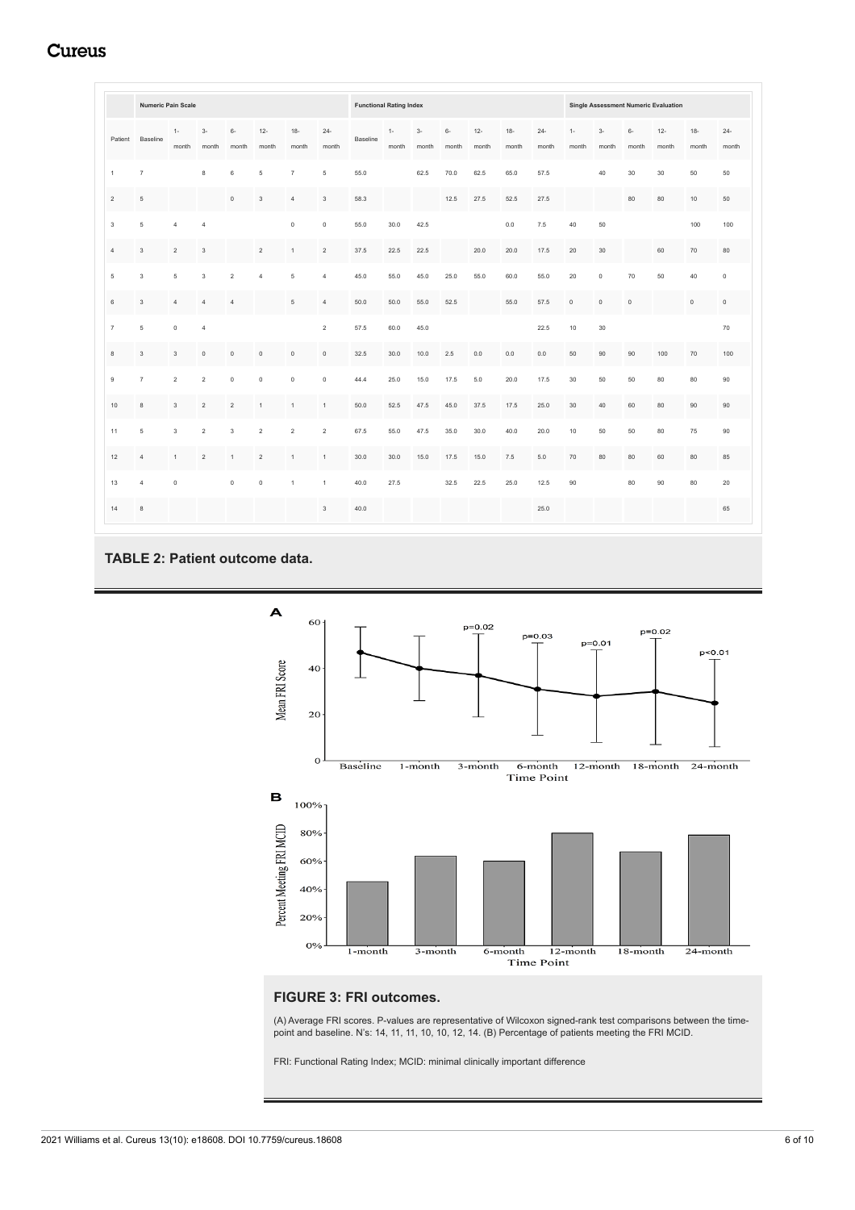## **Cureus**

<span id="page-5-0"></span>

|                | <b>Numeric Pain Scale</b> |                |                |                |                           |                |                 |          | <b>Functional Rating Index</b> |               |               |                 |                 |                 |                | <b>Single Assessment Numeric Evaluation</b> |               |                 |                 |                 |  |  |
|----------------|---------------------------|----------------|----------------|----------------|---------------------------|----------------|-----------------|----------|--------------------------------|---------------|---------------|-----------------|-----------------|-----------------|----------------|---------------------------------------------|---------------|-----------------|-----------------|-----------------|--|--|
|                | Patient Baseline          | $1 -$<br>month | $3-$<br>month  | $6-$<br>month  | $12 -$<br>month           | $18-$<br>month | $24 -$<br>month | Baseline | $1 -$<br>month                 | $3-$<br>month | $6-$<br>month | $12 -$<br>month | $18 -$<br>month | $24 -$<br>month | $1 -$<br>month | $3-$<br>month                               | $6-$<br>month | $12 -$<br>month | $18 -$<br>month | $24 -$<br>month |  |  |
| $\mathbf{1}$   | $\overline{7}$            |                | 8              | 6              | 5                         | $\overline{7}$ | 5               | 55.0     |                                | 62.5          | 70.0          | 62.5            | 65.0            | 57.5            |                | 40                                          | 30            | 30              | 50              | 50              |  |  |
| $\,2$          | 5                         |                |                | $\mathbf 0$    | $\ensuremath{\mathsf{3}}$ | $\overline{4}$ | 3               | 58.3     |                                |               | 12.5          | 27.5            | 52.5            | 27.5            |                |                                             | 80            | 80              | 10              | 50              |  |  |
| $\mathsf 3$    | 5                         | $\overline{4}$ | $\overline{4}$ |                |                           | $\mathbb O$    | $\mathsf 0$     | 55.0     | 30.0                           | 42.5          |               |                 | 0.0             | 7.5             | 40             | 50                                          |               |                 | 100             | 100             |  |  |
| $\overline{4}$ | 3                         | $\overline{2}$ | 3              |                | $\overline{2}$            | $\mathbf{1}$   | $\mathbf 2$     | 37.5     | 22.5                           | 22.5          |               | 20.0            | 20.0            | 17.5            | 20             | 30                                          |               | 60              | 70              | 80              |  |  |
| 5              | 3                         | 5              | 3              | $\overline{2}$ | $\overline{4}$            | 5              | 4               | 45.0     | 55.0                           | 45.0          | 25.0          | 55.0            | 60.0            | 55.0            | 20             | $\mathbb O$                                 | 70            | 50              | 40              | $\mathsf 0$     |  |  |
| $\,6\,$        | $_{3}$                    | $\overline{4}$ | $\overline{4}$ | $\sqrt{4}$     |                           | $\overline{5}$ | $\overline{4}$  | 50.0     | 50.0                           | 55.0          | 52.5          |                 | 55.0            | 57.5            | $\mathbb O$    | $\mathbb O$                                 | $\mathbb O$   |                 | $\mathbb O$     | $\mathbf 0$     |  |  |
| $\overline{7}$ | 5                         | $\circ$        | $\overline{4}$ |                |                           |                | $\overline{2}$  | 57.5     | 60.0                           | 45.0          |               |                 |                 | 22.5            | 10             | 30                                          |               |                 |                 | 70              |  |  |
| 8              | 3                         | 3              | $\circ$        | $\mathbb O$    | $\mathbb O$               | $\bf 0$        | $\mathbb O$     | 32.5     | 30.0                           | 10.0          | 2.5           | 0.0             | 0.0             | 0.0             | 50             | 90                                          | 90            | 100             | 70              | 100             |  |  |
| 9              | $\overline{7}$            | $\sqrt{2}$     | $\overline{2}$ | $\mathbb O$    | $\mathbb O$               | $\mathbb O$    | $\mathsf 0$     | 44.4     | 25.0                           | 15.0          | 17.5          | 5.0             | 20.0            | 17.5            | 30             | 50                                          | 50            | 80              | 80              | 90              |  |  |
| 10             | $\bf8$                    | $_{3}$         | $\sqrt{2}$     | $\,2$          | $\mathbf{1}$              | $\mathbf{1}$   | $\mathbf{1}$    | 50.0     | 52.5                           | 47.5          | 45.0          | 37.5            | 17.5            | 25.0            | 30             | 40                                          | 60            | 80              | 90              | 90              |  |  |
| 11             | 5                         | 3              | $\overline{2}$ | 3              | $\overline{2}$            | $\overline{2}$ | $\mathbf 2$     | 67.5     | 55.0                           | 47.5          | 35.0          | 30.0            | 40.0            | 20.0            | 10             | 50                                          | 50            | 80              | 75              | 90              |  |  |
| 12             | $\sqrt{4}$                | $\mathbf{1}$   | $\overline{2}$ | $\mathbf{1}$   | $\overline{2}$            | $\mathbf{1}$   | $\mathbf{1}$    | 30.0     | 30.0                           | 15.0          | 17.5          | 15.0            | 7.5             | 5.0             | 70             | 80                                          | 80            | 60              | 80              | 85              |  |  |
| 13             | $\overline{4}$            | $\mathbf 0$    |                | $\mathbb O$    | $\mathbb O$               | $\overline{1}$ | $\mathbf{1}$    | 40.0     | 27.5                           |               | 32.5          | 22.5            | 25.0            | 12.5            | 90             |                                             | 80            | 90              | 80              | 20              |  |  |
| 14             | 8                         |                |                |                |                           |                | $\mathbf{3}$    | 40.0     |                                |               |               |                 |                 | 25.0            |                |                                             |               |                 |                 | 65              |  |  |

### **TABLE 2: Patient outcome data.**

<span id="page-5-1"></span>

### **FIGURE 3: FRI outcomes.**

(A) Average FRI scores. P-values are representative of Wilcoxon signed-rank test comparisons between the timepoint and baseline. N's: 14, 11, 11, 10, 10, 12, 14. (B) Percentage of patients meeting the FRI MCID.

FRI: Functional Rating Index; MCID: minimal clinically important difference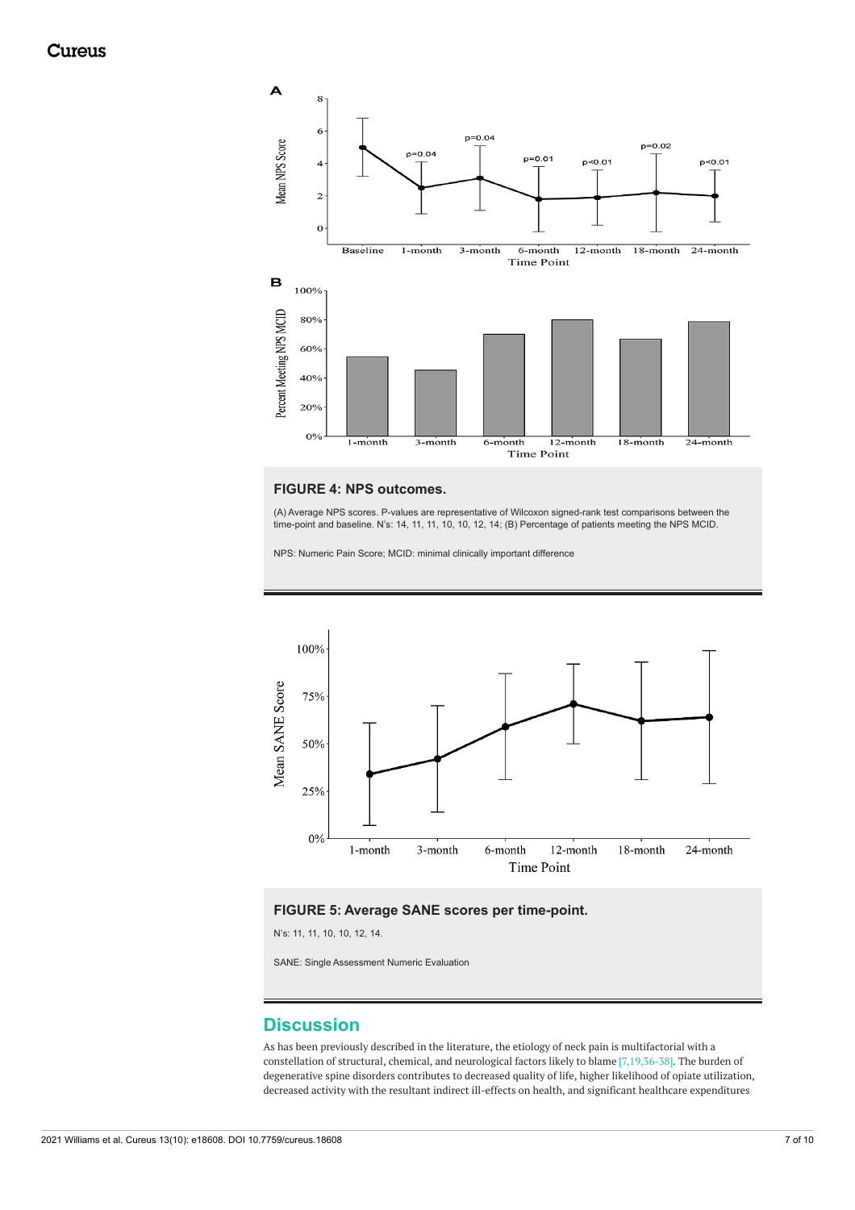<span id="page-6-0"></span>

#### **FIGURE 4: NPS outcomes.**

(A) Average NPS scores. P-values are representative of Wilcoxon signed-rank test comparisons between the time-point and baseline. N's: 14, 11, 11, 10, 10, 12, 14; (B) Percentage of patients meeting the NPS MCID.

NPS: Numeric Pain Score; MCID: minimal clinically important difference

<span id="page-6-1"></span>

#### **FIGURE 5: Average SANE scores per time-point.**

N's: 11, 11, 10, 10, 12, 14.

SANE: Single Assessment Numeric Evaluation

#### **Discussion**

As has been previously described in the literature, the etiology of neck pain is multifactorial with a constellation of structural, chemical, and neurological factors likely to blame [7,19,36-38]. The burden of degenerative spine disorders contributes to decreased quality of life, higher likelihood of opiate utilization, decreased activity with the resultant indirect ill-effects on health, and significant healthcare expenditures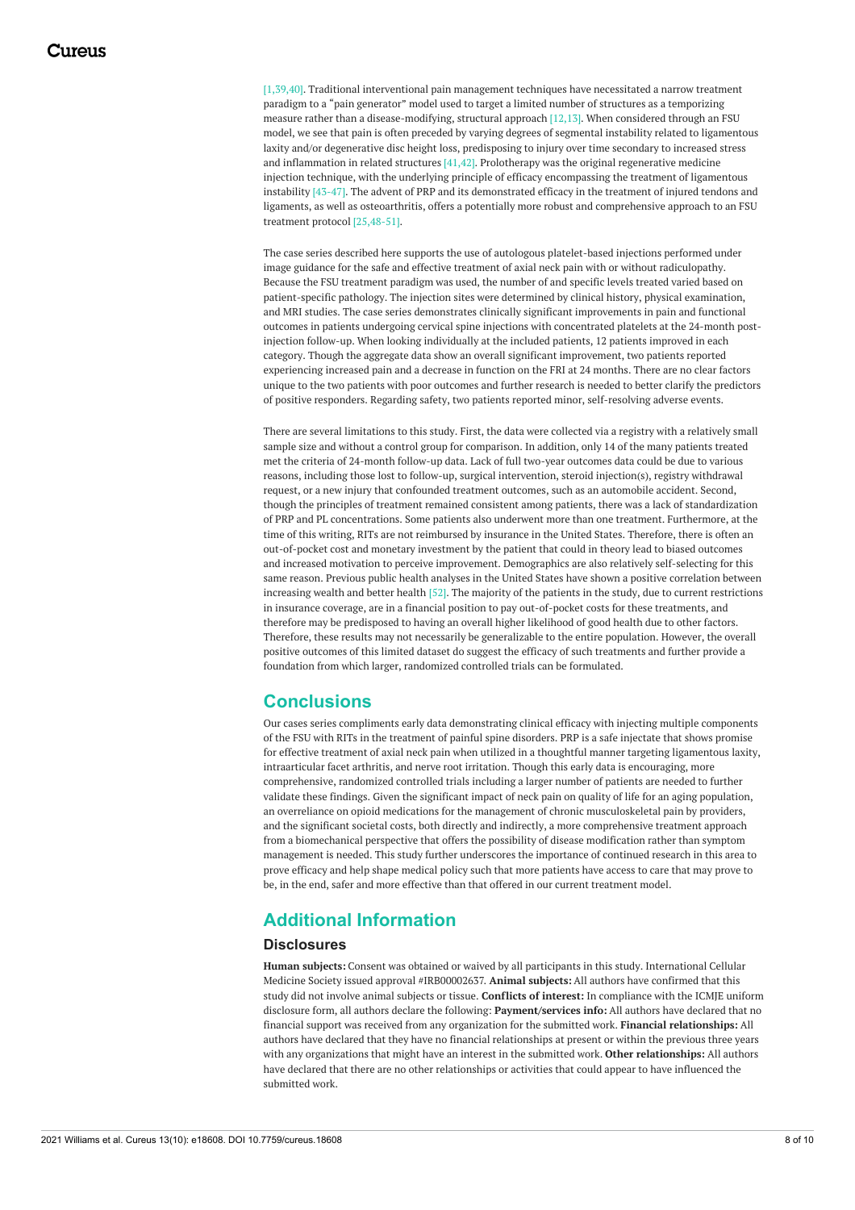[1,39,40]. Traditional interventional pain management techniques have necessitated a narrow treatment paradigm to a "pain generator" model used to target a limited number of structures as a temporizing measure rather than a disease-modifying, structural approach [12,13]. When considered through an FSU model, we see that pain is often preceded by varying degrees of segmental instability related to ligamentous laxity and/or degenerative disc height loss, predisposing to injury over time secondary to increased stress and inflammation in related structures  $[41, 42]$ . Prolotherapy was the original regenerative medicine injection technique, with the underlying principle of efficacy encompassing the treatment of ligamentous instability [43-47]. The advent of PRP and its demonstrated efficacy in the treatment of injured tendons and ligaments, as well as osteoarthritis, offers a potentially more robust and comprehensive approach to an FSU treatment protocol [25,48-51].

The case series described here supports the use of autologous platelet-based injections performed under image guidance for the safe and effective treatment of axial neck pain with or without radiculopathy. Because the FSU treatment paradigm was used, the number of and specific levels treated varied based on patient-specific pathology. The injection sites were determined by clinical history, physical examination, and MRI studies. The case series demonstrates clinically significant improvements in pain and functional outcomes in patients undergoing cervical spine injections with concentrated platelets at the 24-month postinjection follow-up. When looking individually at the included patients, 12 patients improved in each category. Though the aggregate data show an overall significant improvement, two patients reported experiencing increased pain and a decrease in function on the FRI at 24 months. There are no clear factors unique to the two patients with poor outcomes and further research is needed to better clarify the predictors of positive responders. Regarding safety, two patients reported minor, self-resolving adverse events.

There are several limitations to this study. First, the data were collected via a registry with a relatively small sample size and without a control group for comparison. In addition, only 14 of the many patients treated met the criteria of 24-month follow-up data. Lack of full two-year outcomes data could be due to various reasons, including those lost to follow-up, surgical intervention, steroid injection(s), registry withdrawal request, or a new injury that confounded treatment outcomes, such as an automobile accident. Second, though the principles of treatment remained consistent among patients, there was a lack of standardization of PRP and PL concentrations. Some patients also underwent more than one treatment. Furthermore, at the time of this writing, RITs are not reimbursed by insurance in the United States. Therefore, there is often an out-of-pocket cost and monetary investment by the patient that could in theory lead to biased outcomes and increased motivation to perceive improvement. Demographics are also relatively self-selecting for this same reason. Previous public health analyses in the United States have shown a positive correlation between increasing wealth and better health [52]. The majority of the patients in the study, due to current restrictions in insurance coverage, are in a financial position to pay out-of-pocket costs for these treatments, and therefore may be predisposed to having an overall higher likelihood of good health due to other factors. Therefore, these results may not necessarily be generalizable to the entire population. However, the overall positive outcomes of this limited dataset do suggest the efficacy of such treatments and further provide a foundation from which larger, randomized controlled trials can be formulated.

### **Conclusions**

Our cases series compliments early data demonstrating clinical efficacy with injecting multiple components of the FSU with RITs in the treatment of painful spine disorders. PRP is a safe injectate that shows promise for effective treatment of axial neck pain when utilized in a thoughtful manner targeting ligamentous laxity, intraarticular facet arthritis, and nerve root irritation. Though this early data is encouraging, more comprehensive, randomized controlled trials including a larger number of patients are needed to further validate these findings. Given the significant impact of neck pain on quality of life for an aging population, an overreliance on opioid medications for the management of chronic musculoskeletal pain by providers, and the significant societal costs, both directly and indirectly, a more comprehensive treatment approach from a biomechanical perspective that offers the possibility of disease modification rather than symptom management is needed. This study further underscores the importance of continued research in this area to prove efficacy and help shape medical policy such that more patients have access to care that may prove to be, in the end, safer and more effective than that offered in our current treatment model.

## **Additional Information**

#### **Disclosures**

**Human subjects:** Consent was obtained or waived by all participants in this study. International Cellular Medicine Society issued approval #IRB00002637. **Animal subjects:** All authors have confirmed that this study did not involve animal subjects or tissue. **Conflicts of interest:** In compliance with the ICMJE uniform disclosure form, all authors declare the following: **Payment/services info:** All authors have declared that no financial support was received from any organization for the submitted work. **Financial relationships:** All authors have declared that they have no financial relationships at present or within the previous three years with any organizations that might have an interest in the submitted work. **Other relationships:** All authors have declared that there are no other relationships or activities that could appear to have influenced the submitted work.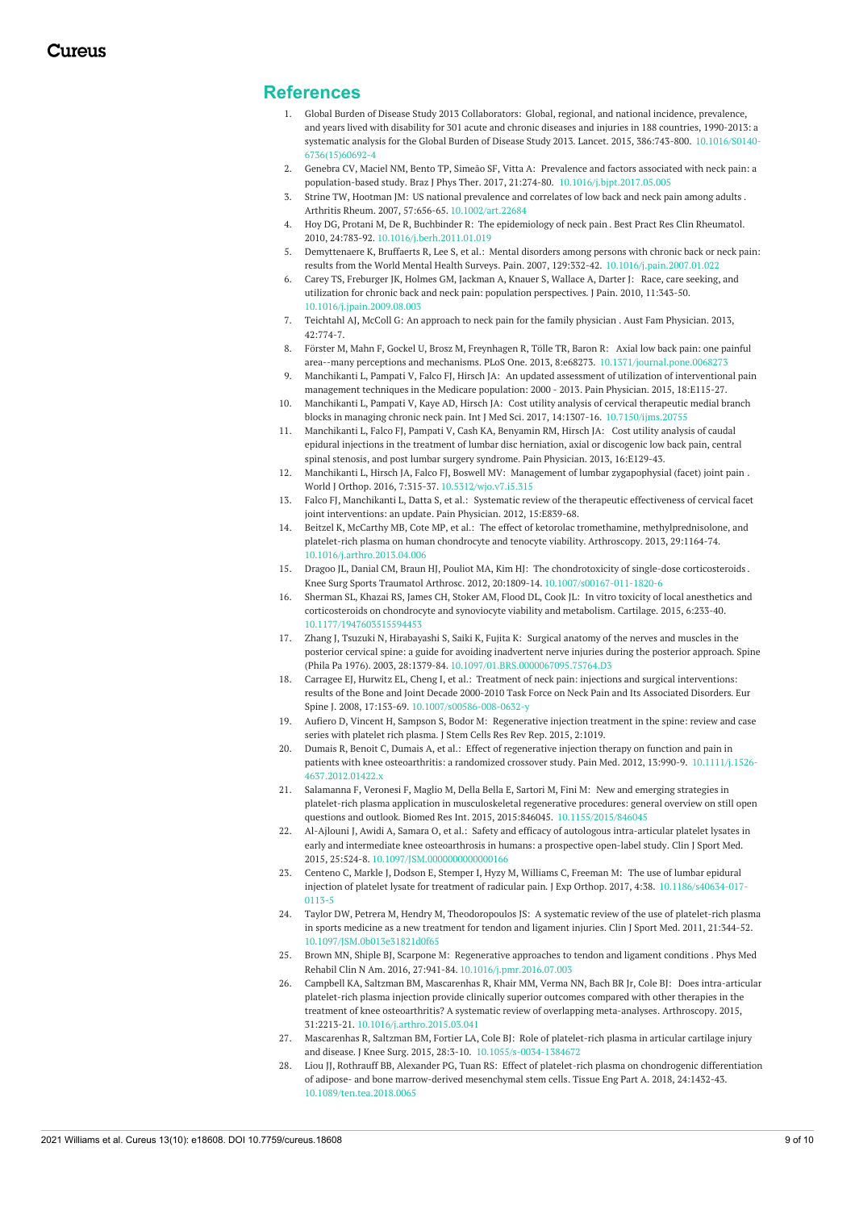#### **References**

- 1. Global Burden of Disease Study 2013 Collaborators: Global, regional, and national incidence, prevalence, and years lived with disability for 301 acute and chronic diseases and injuries in 188 countries, 1990-2013: a systematic analysis for the Global Burden of Disease Study 2013. Lancet. 2015, 386:743-800. [10.1016/S0140](https://dx.doi.org/10.1016/S0140-6736(15)60692-4)- [6736\(15\)60692-4](https://dx.doi.org/10.1016/S0140-6736(15)60692-4)
- 2. Genebra CV, Maciel NM, Bento TP, Simeão SF, Vitta A: Prevalence and factors associated with neck pain: a population-based study. Braz J Phys Ther. 2017, 21:274-80. [10.1016/j.bjpt.2017.05.005](https://dx.doi.org/10.1016/j.bjpt.2017.05.005)
- 3. Strine TW, Hootman JM: US national [prevalence](https://dx.doi.org/10.1002/art.22684) and correlates of low back and neck pain among adults . Arthritis Rheum. 2007, 57:656-65. [10.1002/art.22684](https://dx.doi.org/10.1002/art.22684)
- 4. Hoy DG, Protani M, De R, Buchbinder R: The [epidemiology](https://dx.doi.org/10.1016/j.berh.2011.01.019) of neck pain . Best Pract Res Clin Rheumatol. 2010, 24:783-92. [10.1016/j.berh.2011.01.019](https://dx.doi.org/10.1016/j.berh.2011.01.019)
- 5. Demyttenaere K, Bruffaerts R, Lee S, et al.: Mental disorders among persons with chronic back or neck pain: results from the World Mental Health Surveys. Pain. 2007, 129:332-42. [10.1016/j.pain.2007.01.022](https://dx.doi.org/10.1016/j.pain.2007.01.022)
- 6. Carey TS, Freburger JK, Holmes GM, Jackman A, Knauer S, Wallace A, Darter J: Race, care seeking, and utilization for chronic back and neck pain: population [perspectives.](https://dx.doi.org/10.1016/j.jpain.2009.08.003) J Pain. 2010, 11:343-50. [10.1016/j.jpain.2009.08.003](https://dx.doi.org/10.1016/j.jpain.2009.08.003)
- 7. Teichtahl AJ, McColl G: An approach to neck pain for the family [physician](https://www.racgp.org.au/afp/2013/november/neck-pain/) . Aust Fam Physician. 2013, 42:774-7.
- 8. Förster M, Mahn F, Gockel U, Brosz M, Freynhagen R, Tölle TR, Baron R: Axial low back pain: one painful area--many perceptions and mechanisms. PLoS One. 2013, 8:e68273. [10.1371/journal.pone.0068273](https://dx.doi.org/10.1371/journal.pone.0068273)
- 9. Manchikanti L, Pampati V, Falco FJ, Hirsch JA: An updated assessment of utilization of [interventional](https://www.painphysicianjournal.com/linkout?issn=&vol=18&page=E115) pain management techniques in the Medicare population: 2000 - 2013. Pain Physician. 2015, 18:E115-27.
- 10. Manchikanti L, Pampati V, Kaye AD, Hirsch JA: Cost utility analysis of cervical therapeutic medial branch blocks in managing chronic neck pain. Int J Med Sci. 2017, 14:1307-16. [10.7150/ijms.20755](https://dx.doi.org/10.7150/ijms.20755)
- 11. [Manchikanti](https://pubmed.ncbi.nlm.nih.gov/23703415/) L, Falco FJ, Pampati V, Cash KA, Benyamin RM, Hirsch JA: Cost utility analysis of caudal epidural injections in the treatment of lumbar disc herniation, axial or discogenic low back pain, central spinal stenosis, and post lumbar surgery syndrome. Pain Physician. 2013, 16:E129-43.
- 12. Manchikanti L, Hirsch JA, Falco FJ, Boswell MV: Management of lumbar [zygapophysial](https://dx.doi.org/10.5312/wjo.v7.i5.315) (facet) joint pain . World J Orthop. 2016, 7:315-37. [10.5312/wjo.v7.i5.315](https://dx.doi.org/10.5312/wjo.v7.i5.315)
- 13. Falco FJ, Manchikanti L, Datta S, et al.: Systematic review of the therapeutic effectiveness of cervical facet joint [interventions:](https://www.painphysicianjournal.com/linkout?issn=&vol=15&page=E839) an update. Pain Physician. 2012, 15:E839-68.
- 14. Beitzel K, McCarthy MB, Cote MP, et al.: The effect of ketorolac tromethamine, [methylprednisolone,](https://dx.doi.org/10.1016/j.arthro.2013.04.006) and platelet-rich plasma on human chondrocyte and tenocyte viability. Arthroscopy. 2013, 29:1164-74. [10.1016/j.arthro.2013.04.006](https://dx.doi.org/10.1016/j.arthro.2013.04.006)
- 15. Dragoo JL, Danial CM, Braun HJ, Pouliot MA, Kim HJ: The [chondrotoxicity](https://dx.doi.org/10.1007/s00167-011-1820-6) of single-dose corticosteroids . Knee Surg Sports Traumatol Arthrosc. 2012, 20:1809-14. [10.1007/s00167-011-1820-6](https://dx.doi.org/10.1007/s00167-011-1820-6)
- 16. Sherman SL, Khazai RS, James CH, Stoker AM, Flood DL, Cook JL: In vitro toxicity of local anesthetics and [corticosteroids](https://dx.doi.org/10.1177/1947603515594453) on chondrocyte and synoviocyte viability and metabolism. Cartilage. 2015, 6:233-40. [10.1177/1947603515594453](https://dx.doi.org/10.1177/1947603515594453)
- 17. Zhang J, Tsuzuki N, [Hirabayashi](https://dx.doi.org/10.1097/01.BRS.0000067095.75764.D3) S, Saiki K, Fujita K: Surgical anatomy of the nerves and muscles in the posterior cervical spine: a guide for avoiding inadvertent nerve injuries during the posterior approach. Spine (Phila Pa 1976). 2003, 28:1379-84. [10.1097/01.BRS.0000067095.75764.D3](https://dx.doi.org/10.1097/01.BRS.0000067095.75764.D3)
- 18. Carragee EJ, Hurwitz EL, Cheng I, et al.: Treatment of neck pain: injections and surgical [interventions:](https://dx.doi.org/10.1007/s00586-008-0632-y) results of the Bone and Joint Decade 2000-2010 Task Force on Neck Pain and Its Associated Disorders. Eur Spine J. 2008, 17:153-69. [10.1007/s00586-008-0632-y](https://dx.doi.org/10.1007/s00586-008-0632-y)
- 19. Aufiero D, Vincent H, Sampson S, Bodor M: [Regenerative](https://www.google.com/url?client=internal-element-cse&cx=016120555718622698702:xpaictngqdy&q=https://austinpublishinggroup.com/stem-cells/download.php%3Ffile%3Dfulltext/jscr-v2-id1019.pdf&sa=U&ved=2ahUKEwin7dyfybrzAhUn8HMBHXF5AHQQFnoECAEQAg&usg=AOvVaw2yC90VujbPtB2QCBaiCI17) injection treatment in the spine: review and case series with platelet rich plasma. J Stem Cells Res Rev Rep. 2015, 2:1019.
- 20. Dumais R, Benoit C, Dumais A, et al.: Effect of regenerative injection therapy on function and pain in patients with knee [osteoarthritis:](https://dx.doi.org/10.1111/j.1526-4637.2012.01422.x) a randomized crossover study. Pain Med. 2012, 13:990-9. 10.1111/j.1526- [4637.2012.01422.x](https://dx.doi.org/10.1111/j.1526-4637.2012.01422.x)
- 21. Salamanna F, Veronesi F, Maglio M, Della Bella E, Sartori M, Fini M: New and emerging strategies in platelet-rich plasma application in musculoskeletal regenerative procedures: general overview on still open questions and outlook. Biomed Res Int. 2015, 2015:846045. [10.1155/2015/846045](https://dx.doi.org/10.1155/2015/846045)
- 22. Al-Ajlouni J, Awidi A, Samara O, et al.: Safety and efficacy of autologous [intra-articular](https://dx.doi.org/10.1097/JSM.0000000000000166) platelet lysates in early and intermediate knee osteoarthrosis in humans: a prospective open-label study. Clin J Sport Med. 2015, 25:524-8. [10.1097/JSM.0000000000000166](https://dx.doi.org/10.1097/JSM.0000000000000166)
- 23. Centeno C, Markle J, Dodson E, Stemper I, Hyzy M, Williams C, Freeman M: The use of lumbar epidural injection of platelet lysate for treatment of radicular pain. J Exp Orthop. 2017, 4:38. [10.1186/s40634-017-](https://dx.doi.org/10.1186/s40634-017-0113-5) 0113-5
- 24. Taylor DW, Petrera M, Hendry M, [Theodoropoulos](https://dx.doi.org/10.1097/JSM.0b013e31821d0f65) JS: A systematic review of the use of platelet-rich plasma in sports medicine as a new treatment for tendon and ligament injuries. Clin J Sport Med. 2011, 21:344-52. [10.1097/JSM.0b013e31821d0f65](https://dx.doi.org/10.1097/JSM.0b013e31821d0f65)
- 25. Brown MN, Shiple BJ, Scarpone M: [Regenerative](https://dx.doi.org/10.1016/j.pmr.2016.07.003) approaches to tendon and ligament conditions . Phys Med Rehabil Clin N Am. 2016, 27:941-84. [10.1016/j.pmr.2016.07.003](https://dx.doi.org/10.1016/j.pmr.2016.07.003)
- 26. Campbell KA, Saltzman BM, Mascarenhas R, Khair MM, Verma NN, Bach BR Jr, Cole BJ: Does intra-articular platelet-rich plasma injection provide clinically superior outcomes compared with other therapies in the treatment of knee osteoarthritis? A systematic review of overlapping [meta-analyses.](https://dx.doi.org/10.1016/j.arthro.2015.03.041) Arthroscopy. 2015, 31:2213-21. [10.1016/j.arthro.2015.03.041](https://dx.doi.org/10.1016/j.arthro.2015.03.041)
- 27. Mascarenhas R, Saltzman BM, Fortier LA, Cole BJ: Role of platelet-rich plasma in articular cartilage injury and disease. J Knee Surg. 2015, 28:3-10. [10.1055/s-0034-1384672](https://dx.doi.org/10.1055/s-0034-1384672)
- 28. Liou JJ, Rothrauff BB, Alexander PG, Tuan RS: Effect of platelet-rich plasma on chondrogenic differentiation of adipose- and bone [marrow-derived](https://dx.doi.org/10.1089/ten.tea.2018.0065) mesenchymal stem cells. Tissue Eng Part A. 2018, 24:1432-43. [10.1089/ten.tea.2018.0065](https://dx.doi.org/10.1089/ten.tea.2018.0065)